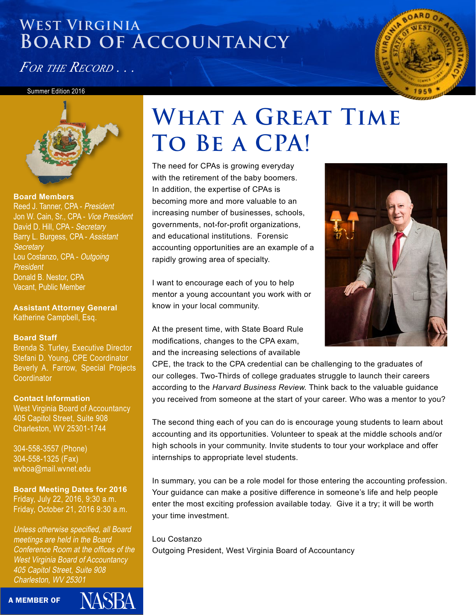*For the Record . . .*

#### Summer Edition 2016



**Board Members**  Reed J. Tanner, CPA - President Jon W. Cain, Sr., CPA - Vice President David D. Hill, CPA - Secretary Barry L. Burgess, CPA - Assistant **Secretary** Lou Costanzo, CPA - Outgoing President Donald B. Nestor, CPA Vacant, Public Member

**Assistant Attorney General** Katherine Campbell, Esq.

#### **Board Staff**

Brenda S. Turley, Executive Director Stefani D. Young, CPE Coordinator Beverly A. Farrow, Special Projects **Coordinator** 

**Contact Information** West Virginia Board of Accountancy 405 Capitol Street, Suite 908 Charleston, WV 25301-1744

304-558-3557 (Phone) 304-558-1325 (Fax) wvboa@mail.wvnet.edu

**Board Meeting Dates for 2016** Friday, July 22, 2016, 9:30 a.m. Friday, October 21, 2016 9:30 a.m.

Unless otherwise specified, all Board meetings are held in the Board Conference Room at the offices of the West Virginia Board of Accountancy 405 Capitol Street, Suite 908 Charleston, WV 25301

JASBA

A MEMBER OF

# WHAT A GREAT TIME **To Be a CPA!**

The need for CPAs is growing everyday with the retirement of the baby boomers. In addition, the expertise of CPAs is becoming more and more valuable to an increasing number of businesses, schools, governments, not-for-profit organizations, and educational institutions. Forensic accounting opportunities are an example of a rapidly growing area of specialty.

I want to encourage each of you to help mentor a young accountant you work with or know in your local community.

At the present time, with State Board Rule modifications, changes to the CPA exam, and the increasing selections of available



The second thing each of you can do is encourage young students to learn about accounting and its opportunities. Volunteer to speak at the middle schools and/or high schools in your community. Invite students to tour your workplace and offer internships to appropriate level students.

In summary, you can be a role model for those entering the accounting profession. Your guidance can make a positive difference in someone's life and help people enter the most exciting profession available today. Give it a try; it will be worth your time investment.

Lou Costanzo Outgoing President, West Virginia Board of Accountancy

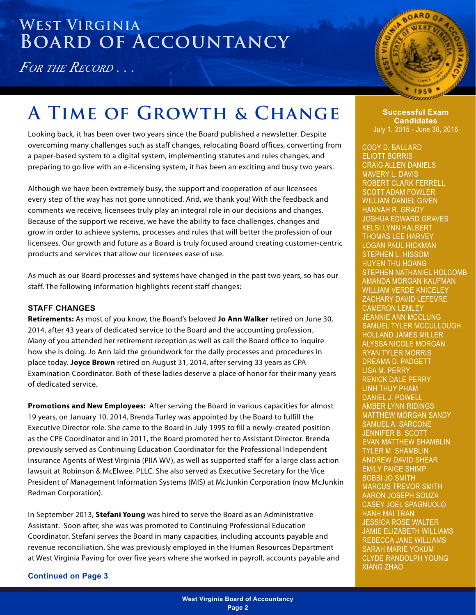*For the Record . . .*



## A TIME OF GROWTH & CHANGE **Successful Exam**

Looking back, it has been over two years since the Board published a newsletter. Despite overcoming many challenges such as staff changes, relocating Board offices, converting from a paper-based system to a digital system, implementing statutes and rules changes, and preparing to go live with an e-licensing system, it has been an exciting and busy two years.

Although we have been extremely busy, the support and cooperation of our licensees every step of the way has not gone unnoticed. And, we thank you! With the feedback and comments we receive, licensees truly play an integral role in our decisions and changes. Because of the support we receive, we have the ability to face challenges, changes and grow in order to achieve systems, processes and rules that will better the profession of our licensees. Our growth and future as a Board is truly focused around creating customer-centric products and services that allow our licensees ease of use.

As much as our Board processes and systems have changed in the past two years, so has our staff. The following information highlights recent staff changes:

#### **STAFF CHANGES**

**Retirements:** As most of you know, the Board's beloved **Jo Ann Walker** retired on June 30, 2014, after 43 years of dedicated service to the Board and the accounting profession. Many of you attended her retirement reception as well as call the Board office to inquire how she is doing. Jo Ann laid the groundwork for the daily processes and procedures in place today. **Joyce Brown** retired on August 31, 2014, after serving 33 years as CPA Examination Coordinator. Both of these ladies deserve a place of honor for their many years of dedicated service.

**Promotions and New Employees:** After serving the Board in various capacities for almost 19 years, on January 10, 2014, Brenda Turley was appointed by the Board to fulfill the Executive Director role. She came to the Board in July 1995 to fill a newly-created position as the CPE Coordinator and in 2011, the Board promoted her to Assistant Director. Brenda previously served as Continuing Education Coordinator for the Professional Independent Insurance Agents of West Virginia (PIIA WV), as well as supported staff for a large class action lawsuit at Robinson & McElwee, PLLC. She also served as Executive Secretary for the Vice President of Management Information Systems (MIS) at McJunkin Corporation (now McJunkin Redman Corporation).

In September 2013, **Stefani Young** was hired to serve the Board as an Administrative Assistant. Soon after, she was was promoted to Continuing Professional Education Coordinator. Stefani serves the Board in many capacities, including accounts payable and revenue reconciliation. She was previously employed in the Human Resources Department at West Virginia Paving for over five years where she worked in payroll, accounts payable and

**Continued on Page 3**

ammo

**Candidates** July 1, 2015 - June 30, 2016

CODY D. BALLARD ELIOTT BORRIS CRAIG ALLEN DANIELS MAVERY L. DAVIS ROBERT CLARK FERRELL SCOTT ADAM FOWLER WILLIAM DANIEL GIVEN HANNAH R. GRADY JOSHUA EDWARD GRAVES KELSI LYNN HALBERT THOMAS LEE HARVEY LOGAN PAUL HICKMAN STEPHEN L. HISSOM HUYEN THU HOANG STEPHEN NATHANIEL HOLCOMB AMANDA MORGAN KAUFMAN WILLIAM VERDE KNICELEY ZACHARY DAVID LEFEVRE CAMERON LEMLEY JEANNIE ANN MCCLUNG SAMUEL TYLER MCCULLOUGH HOLLAND JAMES MILLER ALYSSA NICOLE MORGAN RYAN TYLER MORRIS DREAMA D. PADGETT LISA M. PERRY RENICK DALE PERRY LINH THUY PHAM DANIEL J. POWELL AMBER LYNN RIDINGS MATTHEW MORGAN SANDY SAMUEL A. SARCONE JENNIFER B. SCOTT EVAN MATTHEW SHAMBLIN TYLER M. SHAMBLIN ANDREW DAVID SHEAR EMILY PAIGE SHIMP BOBBI JO SMITH MARCUS TREVOR SMITH AARON JOSEPH SOUZA CASEY JOEL SPAGNUOLO HANH MAI TRAN JESSICA ROSE WALTER JAMIE ELIZABETH WILLIAMS REBECCA JANE WILLIAMS SARAH MARIE YOKUM CLYDE RANDOLPH YOUNG XIANG ZHAO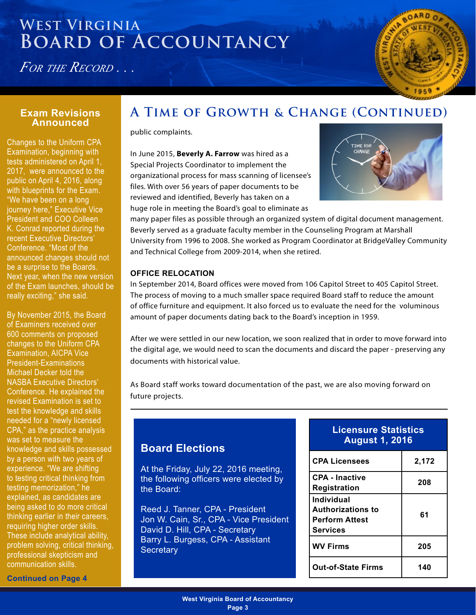*For the Record . . .*



### **Announced**

Changes to the Uniform CPA Examination, beginning with tests administered on April 1, 2017, were announced to the public on April 4, 2016, along with blueprints for the Exam. "We have been on a long journey here," Executive Vice President and COO Colleen K. Conrad reported during the recent Executive Directors' Conference. "Most of the announced changes should not be a surprise to the Boards. Next year, when the new version of the Exam launches, should be really exciting," she said.

By November 2015, the Board of Examiners received over 600 comments on proposed changes to the Uniform CPA Examination, AICPA Vice President-Examinations Michael Decker told the NASBA Executive Directors' Conference. He explained the revised Examination is set to test the knowledge and skills needed for a "newly licensed CPA," as the practice analysis was set to measure the knowledge and skills possessed by a person with two years of experience. "We are shifting to testing critical thinking from testing memorization," he explained, as candidates are being asked to do more critical thinking earlier in their careers, requiring higher order skills. These include analytical ability, problem solving, critical thinking, professional skepticism and communication skills.

### **Exam Revisions A Time of Growth & Change (Continued)**

public complaints.

In June 2015, **Beverly A. Farrow** was hired as a Special Projects Coordinator to implement the organizational process for mass scanning of licensee's files. With over 56 years of paper documents to be reviewed and identified, Beverly has taken on a huge role in meeting the Board's goal to eliminate as



many paper files as possible through an organized system of digital document management. Beverly served as a graduate faculty member in the Counseling Program at Marshall University from 1996 to 2008. She worked as Program Coordinator at BridgeValley Community and Technical College from 2009-2014, when she retired.

#### **OFFICE RELOCATION**

In September 2014, Board offices were moved from 106 Capitol Street to 405 Capitol Street. The process of moving to a much smaller space required Board staff to reduce the amount of office furniture and equipment. It also forced us to evaluate the need for the voluminous amount of paper documents dating back to the Board's inception in 1959.

After we were settled in our new location, we soon realized that in order to move forward into the digital age, we would need to scan the documents and discard the paper - preserving any documents with historical value.

As Board staff works toward documentation of the past, we are also moving forward on future projects.

### **Board Elections**

At the Friday, July 22, 2016 meeting, the following officers were elected by the Board:

Reed J. Tanner, CPA - President Jon W. Cain, Sr., CPA - Vice President David D. Hill, CPA - Secretary Barry L. Burgess, CPA - Assistant **Secretary** 

| <b>Licensure Statistics</b> |  |
|-----------------------------|--|
| August 1, 2016 <sup>\</sup> |  |

| <b>CPA Licensees</b>                                                               | 2,172 |
|------------------------------------------------------------------------------------|-------|
| <b>CPA - Inactive</b><br><b>Registration</b>                                       | 208   |
| Individual<br><b>Authorizations to</b><br><b>Perform Attest</b><br><b>Services</b> | 61    |
| <b>WV Firms</b>                                                                    | 205   |
| <b>Out-of-State Firms</b>                                                          | 140   |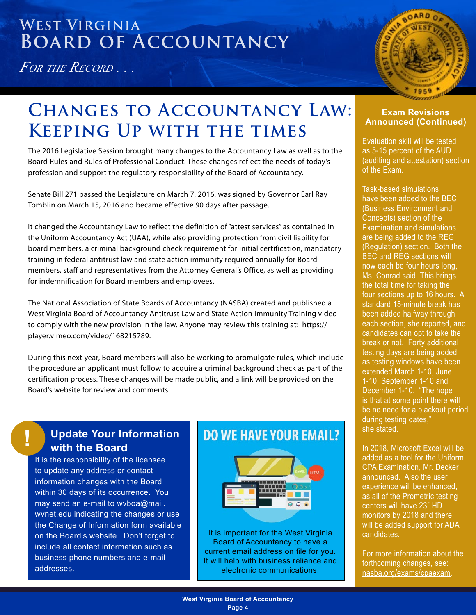*For the Record . . .*



### **Changes to Accountancy Law: Keeping Up with the times**

The 2016 Legislative Session brought many changes to the Accountancy Law as well as to the Board Rules and Rules of Professional Conduct. These changes reflect the needs of today's profession and support the regulatory responsibility of the Board of Accountancy.

Senate Bill 271 passed the Legislature on March 7, 2016, was signed by Governor Earl Ray Tomblin on March 15, 2016 and became effective 90 days after passage.

It changed the Accountancy Law to reflect the definition of "attest services" as contained in the Uniform Accountancy Act (UAA), while also providing protection from civil liability for board members, a criminal background check requirement for initial certification, mandatory training in federal antitrust law and state action immunity required annually for Board members, staff and representatives from the Attorney General's Office, as well as providing for indemnification for Board members and employees.

The National Association of State Boards of Accountancy (NASBA) created and published a West Virginia Board of Accountancy Antitrust Law and State Action Immunity Training video to comply with the new provision in the law. Anyone may review this training at: https:// player.vimeo.com/video/168215789.

During this next year, Board members will also be working to promulgate rules, which include the procedure an applicant must follow to acquire a criminal background check as part of the certification process. These changes will be made public, and a link will be provided on the Board's website for review and comments.

#### **Update Your Information with the Board**

**!**

It is the responsibility of the licensee to update any address or contact information changes with the Board within 30 days of its occurrence. You may send an e-mail to wvboa@mail. wvnet.edu indicating the changes or use the Change of Information form available on the Board's website. Don't forget to include all contact information such as business phone numbers and e-mail addresses.

### **DO WE HAVE YOUR EMAIL?**



It is important for the West Virginia Board of Accountancy to have a current email address on file for you. It will help with business reliance and electronic communications.

#### **Exam Revisions Announced (Continued)**

Evaluation skill will be tested as 5-15 percent of the AUD (auditing and attestation) section of the Exam.

Task-based simulations have been added to the BEC (Business Environment and Concepts) section of the Examination and simulations are being added to the REG (Regulation) section. Both the BEC and REG sections will now each be four hours long, Ms. Conrad said. This brings the total time for taking the four sections up to 16 hours. A standard 15-minute break has been added halfway through each section, she reported, and candidates can opt to take the break or not. Forty additional testing days are being added as testing windows have been extended March 1-10, June 1-10, September 1-10 and December 1-10. "The hope is that at some point there will be no need for a blackout period during testing dates," she stated.

In 2018, Microsoft Excel will be added as a tool for the Uniform CPA Examination, Mr. Decker announced. Also the user experience will be enhanced, as all of the Prometric testing centers will have 23" HD monitors by 2018 and there will be added support for ADA candidates.

For more information about the forthcoming changes, see: [nasba.org/exams/cpaexam.](http://nasba.org/exams/cpaexam)